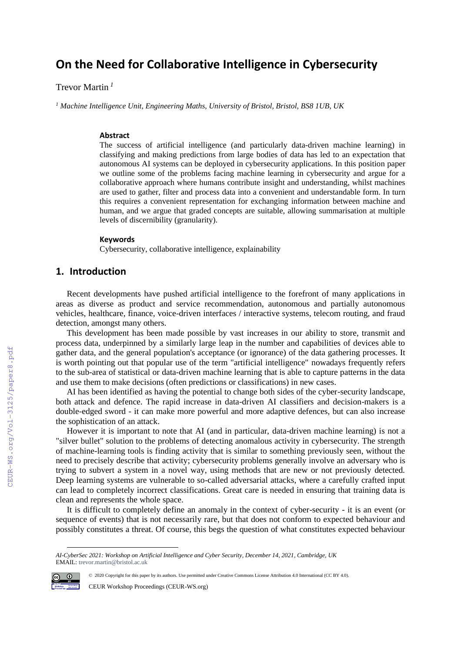# **On the Need for Collaborative Intelligence in Cybersecurity**

Trevor Martin *<sup>1</sup>*

*<sup>1</sup> Machine Intelligence Unit, Engineering Maths, University of Bristol, Bristol, BS8 1UB, UK*

#### **Abstract**

The success of artificial intelligence (and particularly data-driven machine learning) in classifying and making predictions from large bodies of data has led to an expectation that autonomous AI systems can be deployed in cybersecurity applications. In this position paper we outline some of the problems facing machine learning in cybersecurity and argue for a collaborative approach where humans contribute insight and understanding, whilst machines are used to gather, filter and process data into a convenient and understandable form. In turn this requires a convenient representation for exchanging information between machine and human, and we argue that graded concepts are suitable, allowing summarisation at multiple levels of discernibility (granularity).

#### **Keywords 1**

Cybersecurity, collaborative intelligence, explainability

# **1. Introduction**

Recent developments have pushed artificial intelligence to the forefront of many applications in areas as diverse as product and service recommendation, autonomous and partially autonomous vehicles, healthcare, finance, voice-driven interfaces / interactive systems, telecom routing, and fraud detection, amongst many others.

This development has been made possible by vast increases in our ability to store, transmit and process data, underpinned by a similarly large leap in the number and capabilities of devices able to gather data, and the general population's acceptance (or ignorance) of the data gathering processes. It is worth pointing out that popular use of the term "artificial intelligence" nowadays frequently refers to the sub-area of statistical or data-driven machine learning that is able to capture patterns in the data and use them to make decisions (often predictions or classifications) in new cases.

AI has been identified as having the potential to change both sides of the cyber-security landscape, both attack and defence. The rapid increase in data-driven AI classifiers and decision-makers is a double-edged sword - it can make more powerful and more adaptive defences, but can also increase the sophistication of an attack.

However it is important to note that AI (and in particular, data-driven machine learning) is not a "silver bullet" solution to the problems of detecting anomalous activity in cybersecurity. The strength of machine-learning tools is finding activity that is similar to something previously seen, without the need to precisely describe that activity; cybersecurity problems generally involve an adversary who is trying to subvert a system in a novel way, using methods that are new or not previously detected. Deep learning systems are vulnerable to so-called adversarial attacks, where a carefully crafted input can lead to completely incorrect classifications. Great care is needed in ensuring that training data is clean and represents the whole space.

It is difficult to completely define an anomaly in the context of cyber-security - it is an event (or sequence of events) that is not necessarily rare, but that does not conform to expected behaviour and possibly constitutes a threat. Of course, this begs the question of what constitutes expected behaviour

*AI-CyberSec 2021: Workshop on Artificial Intelligence and Cyber Security, December 14, 2021, Cambridge, UK* EMAIL: trevor.martin@bristol.ac.uk



©️ 2020 Copyright for this paper by its authors. Use permitted under Creative Commons License Attribution 4.0 International (CC BY 4.0).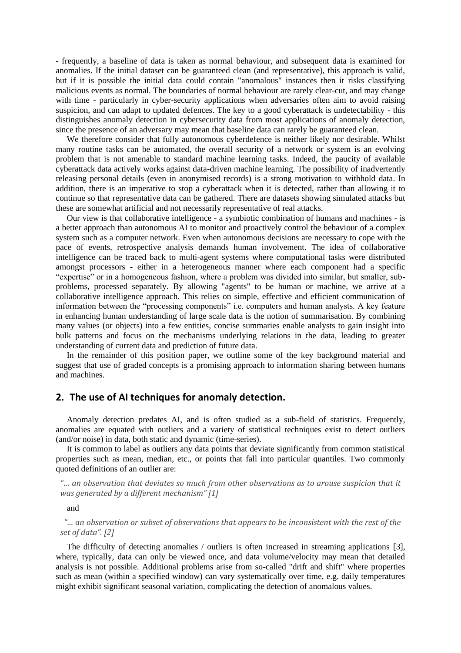- frequently, a baseline of data is taken as normal behaviour, and subsequent data is examined for anomalies. If the initial dataset can be guaranteed clean (and representative), this approach is valid, but if it is possible the initial data could contain "anomalous" instances then it risks classifying malicious events as normal. The boundaries of normal behaviour are rarely clear-cut, and may change with time - particularly in cyber-security applications when adversaries often aim to avoid raising suspicion, and can adapt to updated defences. The key to a good cyberattack is undetectability - this distinguishes anomaly detection in cybersecurity data from most applications of anomaly detection, since the presence of an adversary may mean that baseline data can rarely be guaranteed clean.

We therefore consider that fully autonomous cyberdefence is neither likely nor desirable. Whilst many routine tasks can be automated, the overall security of a network or system is an evolving problem that is not amenable to standard machine learning tasks. Indeed, the paucity of available cyberattack data actively works against data-driven machine learning. The possibility of inadvertently releasing personal details (even in anonymised records) is a strong motivation to withhold data. In addition, there is an imperative to stop a cyberattack when it is detected, rather than allowing it to continue so that representative data can be gathered. There are datasets showing simulated attacks but these are somewhat artificial and not necessarily representative of real attacks.

Our view is that collaborative intelligence - a symbiotic combination of humans and machines - is a better approach than autonomous AI to monitor and proactively control the behaviour of a complex system such as a computer network. Even when autonomous decisions are necessary to cope with the pace of events, retrospective analysis demands human involvement. The idea of collaborative intelligence can be traced back to multi-agent systems where computational tasks were distributed amongst processors - either in a heterogeneous manner where each component had a specific "expertise" or in a homogeneous fashion, where a problem was divided into similar, but smaller, subproblems, processed separately. By allowing "agents" to be human or machine, we arrive at a collaborative intelligence approach. This relies on simple, effective and efficient communication of information between the "processing components" i.e. computers and human analysts. A key feature in enhancing human understanding of large scale data is the notion of summarisation. By combining many values (or objects) into a few entities, concise summaries enable analysts to gain insight into bulk patterns and focus on the mechanisms underlying relations in the data, leading to greater understanding of current data and prediction of future data.

In the remainder of this position paper, we outline some of the key background material and suggest that use of graded concepts is a promising approach to information sharing between humans and machines.

# **2. The use of AI techniques for anomaly detection.**

Anomaly detection predates AI, and is often studied as a sub-field of statistics. Frequently, anomalies are equated with outliers and a variety of statistical techniques exist to detect outliers (and/or noise) in data, both static and dynamic (time-series).

It is common to label as outliers any data points that deviate significantly from common statistical properties such as mean, median, etc., or points that fall into particular quantiles. Two commonly quoted definitions of an outlier are:

*"… an observation that deviates so much from other observations as to arouse suspicion that it was generated by a different mechanism" [1]*

and

 *"… an observation or subset of observations that appears to be inconsistent with the rest of the set of data". [2]*

The difficulty of detecting anomalies / outliers is often increased in streaming applications [3], where, typically, data can only be viewed once, and data volume/velocity may mean that detailed analysis is not possible. Additional problems arise from so-called "drift and shift" where properties such as mean (within a specified window) can vary systematically over time, e.g. daily temperatures might exhibit significant seasonal variation, complicating the detection of anomalous values.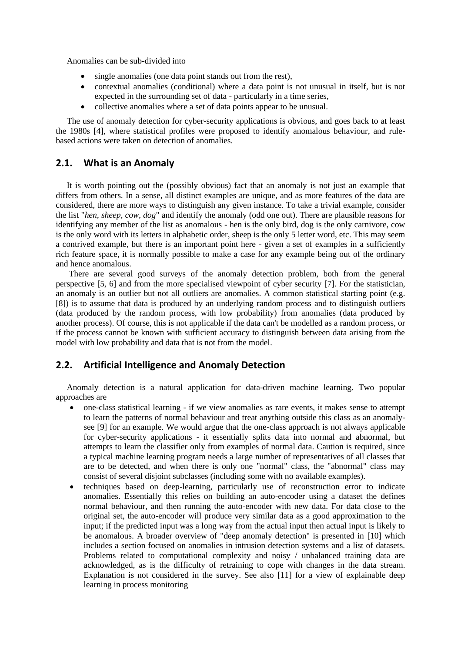Anomalies can be sub-divided into

- single anomalies (one data point stands out from the rest),
- contextual anomalies (conditional) where a data point is not unusual in itself, but is not expected in the surrounding set of data - particularly in a time series,
- collective anomalies where a set of data points appear to be unusual.

The use of anomaly detection for cyber-security applications is obvious, and goes back to at least the 1980s [4], where statistical profiles were proposed to identify anomalous behaviour, and rulebased actions were taken on detection of anomalies.

## **2.1. What is an Anomaly**

It is worth pointing out the (possibly obvious) fact that an anomaly is not just an example that differs from others. In a sense, all distinct examples are unique, and as more features of the data are considered, there are more ways to distinguish any given instance. To take a trivial example, consider the list "*hen, sheep, cow, dog*" and identify the anomaly (odd one out). There are plausible reasons for identifying any member of the list as anomalous - hen is the only bird, dog is the only carnivore, cow is the only word with its letters in alphabetic order, sheep is the only 5 letter word, etc. This may seem a contrived example, but there is an important point here - given a set of examples in a sufficiently rich feature space, it is normally possible to make a case for any example being out of the ordinary and hence anomalous.

There are several good surveys of the anomaly detection problem, both from the general perspective [5, 6] and from the more specialised viewpoint of cyber security [7]. For the statistician, an anomaly is an outlier but not all outliers are anomalies. A common statistical starting point (e.g. [8]) is to assume that data is produced by an underlying random process and to distinguish outliers (data produced by the random process, with low probability) from anomalies (data produced by another process). Of course, this is not applicable if the data can't be modelled as a random process, or if the process cannot be known with sufficient accuracy to distinguish between data arising from the model with low probability and data that is not from the model.

# **2.2. Artificial Intelligence and Anomaly Detection**

Anomaly detection is a natural application for data-driven machine learning. Two popular approaches are

- one-class statistical learning if we view anomalies as rare events, it makes sense to attempt to learn the patterns of normal behaviour and treat anything outside this class as an anomalysee [9] for an example. We would argue that the one-class approach is not always applicable for cyber-security applications - it essentially splits data into normal and abnormal, but attempts to learn the classifier only from examples of normal data. Caution is required, since a typical machine learning program needs a large number of representatives of all classes that are to be detected, and when there is only one "normal" class, the "abnormal" class may consist of several disjoint subclasses (including some with no available examples).
- techniques based on deep-learning, particularly use of reconstruction error to indicate anomalies. Essentially this relies on building an auto-encoder using a dataset the defines normal behaviour, and then running the auto-encoder with new data. For data close to the original set, the auto-encoder will produce very similar data as a good approximation to the input; if the predicted input was a long way from the actual input then actual input is likely to be anomalous. A broader overview of "deep anomaly detection" is presented in [10] which includes a section focused on anomalies in intrusion detection systems and a list of datasets. Problems related to computational complexity and noisy / unbalanced training data are acknowledged, as is the difficulty of retraining to cope with changes in the data stream. Explanation is not considered in the survey. See also [11] for a view of explainable deep learning in process monitoring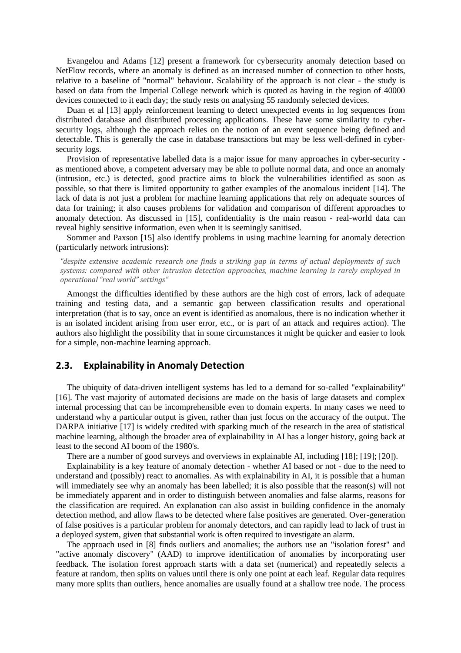Evangelou and Adams [12] present a framework for cybersecurity anomaly detection based on NetFlow records, where an anomaly is defined as an increased number of connection to other hosts, relative to a baseline of "normal" behaviour. Scalability of the approach is not clear - the study is based on data from the Imperial College network which is quoted as having in the region of 40000 devices connected to it each day; the study rests on analysing 55 randomly selected devices.

Duan et al [13] apply reinforcement learning to detect unexpected events in log sequences from distributed database and distributed processing applications. These have some similarity to cybersecurity logs, although the approach relies on the notion of an event sequence being defined and detectable. This is generally the case in database transactions but may be less well-defined in cybersecurity logs.

Provision of representative labelled data is a major issue for many approaches in cyber-security as mentioned above, a competent adversary may be able to pollute normal data, and once an anomaly (intrusion, etc.) is detected, good practice aims to block the vulnerabilities identified as soon as possible, so that there is limited opportunity to gather examples of the anomalous incident [14]. The lack of data is not just a problem for machine learning applications that rely on adequate sources of data for training; it also causes problems for validation and comparison of different approaches to anomaly detection. As discussed in [15], confidentiality is the main reason - real-world data can reveal highly sensitive information, even when it is seemingly sanitised.

Sommer and Paxson [15] also identify problems in using machine learning for anomaly detection (particularly network intrusions):

*"despite extensive academic research one finds a striking gap in terms of actual deployments of such systems: compared with other intrusion detection approaches, machine learning is rarely employed in operational "real world" settings"* 

Amongst the difficulties identified by these authors are the high cost of errors, lack of adequate training and testing data, and a semantic gap between classification results and operational interpretation (that is to say, once an event is identified as anomalous, there is no indication whether it is an isolated incident arising from user error, etc., or is part of an attack and requires action). The authors also highlight the possibility that in some circumstances it might be quicker and easier to look for a simple, non-machine learning approach.

#### **2.3. Explainability in Anomaly Detection**

The ubiquity of data-driven intelligent systems has led to a demand for so-called "explainability" [16]. The vast majority of automated decisions are made on the basis of large datasets and complex internal processing that can be incomprehensible even to domain experts. In many cases we need to understand why a particular output is given, rather than just focus on the accuracy of the output. The DARPA initiative [17] is widely credited with sparking much of the research in the area of statistical machine learning, although the broader area of explainability in AI has a longer history, going back at least to the second AI boom of the 1980's.

There are a number of good surveys and overviews in explainable AI, including [18]; [19]; [20]).

Explainability is a key feature of anomaly detection - whether AI based or not - due to the need to understand and (possibly) react to anomalies. As with explainability in AI, it is possible that a human will immediately see why an anomaly has been labelled; it is also possible that the reason(s) will not be immediately apparent and in order to distinguish between anomalies and false alarms, reasons for the classification are required. An explanation can also assist in building confidence in the anomaly detection method, and allow flaws to be detected where false positives are generated. Over-generation of false positives is a particular problem for anomaly detectors, and can rapidly lead to lack of trust in a deployed system, given that substantial work is often required to investigate an alarm.

The approach used in [8] finds outliers and anomalies; the authors use an "isolation forest" and "active anomaly discovery" (AAD) to improve identification of anomalies by incorporating user feedback. The isolation forest approach starts with a data set (numerical) and repeatedly selects a feature at random, then splits on values until there is only one point at each leaf. Regular data requires many more splits than outliers, hence anomalies are usually found at a shallow tree node. The process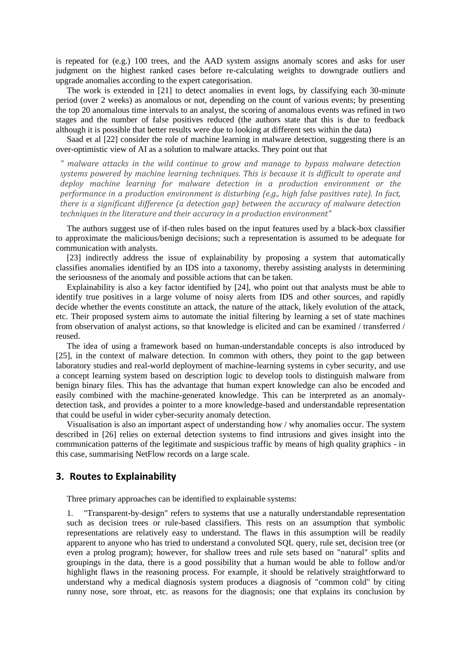is repeated for (e.g.) 100 trees, and the AAD system assigns anomaly scores and asks for user judgment on the highest ranked cases before re-calculating weights to downgrade outliers and upgrade anomalies according to the expert categorisation.

The work is extended in [21] to detect anomalies in event logs, by classifying each 30-minute period (over 2 weeks) as anomalous or not, depending on the count of various events; by presenting the top 20 anomalous time intervals to an analyst, the scoring of anomalous events was refined in two stages and the number of false positives reduced (the authors state that this is due to feedback although it is possible that better results were due to looking at different sets within the data)

Saad et al [22] consider the role of machine learning in malware detection, suggesting there is an over-optimistic view of AI as a solution to malware attacks. They point out that

*" malware attacks in the wild continue to grow and manage to bypass malware detection systems powered by machine learning techniques. This is because it is difficult to operate and deploy machine learning for malware detection in a production environment or the performance in a production environment is disturbing (e.g., high false positives rate). In fact, there is a significant difference (a detection gap) between the accuracy of malware detection techniques in the literature and their accuracy in a production environment"*

The authors suggest use of if-then rules based on the input features used by a black-box classifier to approximate the malicious/benign decisions; such a representation is assumed to be adequate for communication with analysts.

[23] indirectly address the issue of explainability by proposing a system that automatically classifies anomalies identified by an IDS into a taxonomy, thereby assisting analysts in determining the seriousness of the anomaly and possible actions that can be taken.

Explainability is also a key factor identified by [24], who point out that analysts must be able to identify true positives in a large volume of noisy alerts from IDS and other sources, and rapidly decide whether the events constitute an attack, the nature of the attack, likely evolution of the attack, etc. Their proposed system aims to automate the initial filtering by learning a set of state machines from observation of analyst actions, so that knowledge is elicited and can be examined / transferred / reused.

The idea of using a framework based on human-understandable concepts is also introduced by [25], in the context of malware detection. In common with others, they point to the gap between laboratory studies and real-world deployment of machine-learning systems in cyber security, and use a concept learning system based on description logic to develop tools to distinguish malware from benign binary files. This has the advantage that human expert knowledge can also be encoded and easily combined with the machine-generated knowledge. This can be interpreted as an anomalydetection task, and provides a pointer to a more knowledge-based and understandable representation that could be useful in wider cyber-security anomaly detection.

Visualisation is also an important aspect of understanding how / why anomalies occur. The system described in [26] relies on external detection systems to find intrusions and gives insight into the communication patterns of the legitimate and suspicious traffic by means of high quality graphics - in this case, summarising NetFlow records on a large scale.

#### **3. Routes to Explainability**

Three primary approaches can be identified to explainable systems:

1. "Transparent-by-design" refers to systems that use a naturally understandable representation such as decision trees or rule-based classifiers. This rests on an assumption that symbolic representations are relatively easy to understand. The flaws in this assumption will be readily apparent to anyone who has tried to understand a convoluted SQL query, rule set, decision tree (or even a prolog program); however, for shallow trees and rule sets based on "natural" splits and groupings in the data, there is a good possibility that a human would be able to follow and/or highlight flaws in the reasoning process. For example, it should be relatively straightforward to understand why a medical diagnosis system produces a diagnosis of "common cold" by citing runny nose, sore throat, etc. as reasons for the diagnosis; one that explains its conclusion by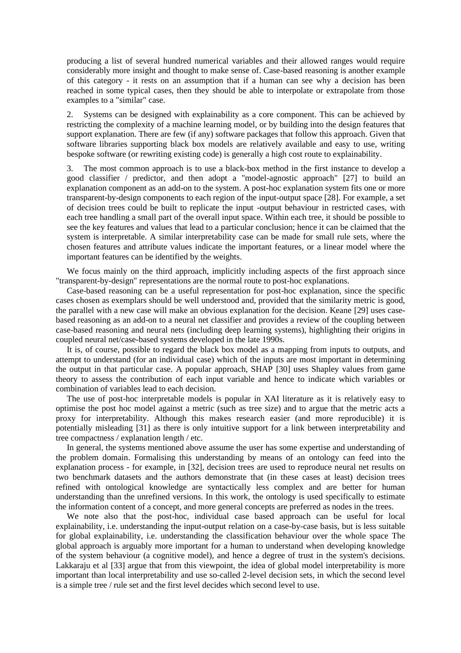producing a list of several hundred numerical variables and their allowed ranges would require considerably more insight and thought to make sense of. Case-based reasoning is another example of this category - it rests on an assumption that if a human can see why a decision has been reached in some typical cases, then they should be able to interpolate or extrapolate from those examples to a "similar" case.

2. Systems can be designed with explainability as a core component. This can be achieved by restricting the complexity of a machine learning model, or by building into the design features that support explanation. There are few (if any) software packages that follow this approach. Given that software libraries supporting black box models are relatively available and easy to use, writing bespoke software (or rewriting existing code) is generally a high cost route to explainability.

3. The most common approach is to use a black-box method in the first instance to develop a good classifier / predictor, and then adopt a "model-agnostic approach" [27] to build an explanation component as an add-on to the system. A post-hoc explanation system fits one or more transparent-by-design components to each region of the input-output space [28]. For example, a set of decision trees could be built to replicate the input -output behaviour in restricted cases, with each tree handling a small part of the overall input space. Within each tree, it should be possible to see the key features and values that lead to a particular conclusion; hence it can be claimed that the system is interpretable. A similar interpretability case can be made for small rule sets, where the chosen features and attribute values indicate the important features, or a linear model where the important features can be identified by the weights.

We focus mainly on the third approach, implicitly including aspects of the first approach since "transparent-by-design" representations are the normal route to post-hoc explanations.

Case-based reasoning can be a useful representation for post-hoc explanation, since the specific cases chosen as exemplars should be well understood and, provided that the similarity metric is good, the parallel with a new case will make an obvious explanation for the decision. Keane [29] uses casebased reasoning as an add-on to a neural net classifier and provides a review of the coupling between case-based reasoning and neural nets (including deep learning systems), highlighting their origins in coupled neural net/case-based systems developed in the late 1990s.

It is, of course, possible to regard the black box model as a mapping from inputs to outputs, and attempt to understand (for an individual case) which of the inputs are most important in determining the output in that particular case. A popular approach, SHAP [30] uses Shapley values from game theory to assess the contribution of each input variable and hence to indicate which variables or combination of variables lead to each decision.

The use of post-hoc interpretable models is popular in XAI literature as it is relatively easy to optimise the post hoc model against a metric (such as tree size) and to argue that the metric acts a proxy for interpretability. Although this makes research easier (and more reproducible) it is potentially misleading [31] as there is only intuitive support for a link between interpretability and tree compactness / explanation length / etc.

In general, the systems mentioned above assume the user has some expertise and understanding of the problem domain. Formalising this understanding by means of an ontology can feed into the explanation process - for example, in [32], decision trees are used to reproduce neural net results on two benchmark datasets and the authors demonstrate that (in these cases at least) decision trees refined with ontological knowledge are syntactically less complex and are better for human understanding than the unrefined versions. In this work, the ontology is used specifically to estimate the information content of a concept, and more general concepts are preferred as nodes in the trees.

We note also that the post-hoc, individual case based approach can be useful for local explainability, i.e. understanding the input-output relation on a case-by-case basis, but is less suitable for global explainability, i.e. understanding the classification behaviour over the whole space The global approach is arguably more important for a human to understand when developing knowledge of the system behaviour (a cognitive model), and hence a degree of trust in the system's decisions. Lakkaraju et al [33] argue that from this viewpoint, the idea of global model interpretability is more important than local interpretability and use so-called 2-level decision sets, in which the second level is a simple tree / rule set and the first level decides which second level to use.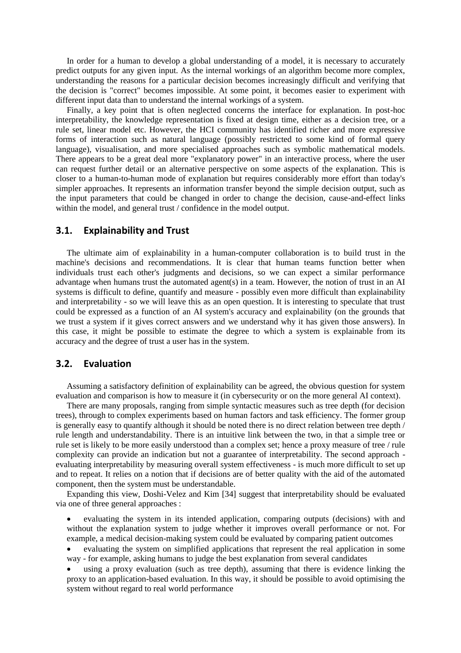In order for a human to develop a global understanding of a model, it is necessary to accurately predict outputs for any given input. As the internal workings of an algorithm become more complex, understanding the reasons for a particular decision becomes increasingly difficult and verifying that the decision is "correct" becomes impossible. At some point, it becomes easier to experiment with different input data than to understand the internal workings of a system.

Finally, a key point that is often neglected concerns the interface for explanation. In post-hoc interpretability, the knowledge representation is fixed at design time, either as a decision tree, or a rule set, linear model etc. However, the HCI community has identified richer and more expressive forms of interaction such as natural language (possibly restricted to some kind of formal query language), visualisation, and more specialised approaches such as symbolic mathematical models. There appears to be a great deal more "explanatory power" in an interactive process, where the user can request further detail or an alternative perspective on some aspects of the explanation. This is closer to a human-to-human mode of explanation but requires considerably more effort than today's simpler approaches. It represents an information transfer beyond the simple decision output, such as the input parameters that could be changed in order to change the decision, cause-and-effect links within the model, and general trust / confidence in the model output.

## **3.1. Explainability and Trust**

The ultimate aim of explainability in a human-computer collaboration is to build trust in the machine's decisions and recommendations. It is clear that human teams function better when individuals trust each other's judgments and decisions, so we can expect a similar performance advantage when humans trust the automated agent(s) in a team. However, the notion of trust in an AI systems is difficult to define, quantify and measure - possibly even more difficult than explainability and interpretability - so we will leave this as an open question. It is interesting to speculate that trust could be expressed as a function of an AI system's accuracy and explainability (on the grounds that we trust a system if it gives correct answers and we understand why it has given those answers). In this case, it might be possible to estimate the degree to which a system is explainable from its accuracy and the degree of trust a user has in the system.

#### **3.2. Evaluation**

Assuming a satisfactory definition of explainability can be agreed, the obvious question for system evaluation and comparison is how to measure it (in cybersecurity or on the more general AI context).

There are many proposals, ranging from simple syntactic measures such as tree depth (for decision trees), through to complex experiments based on human factors and task efficiency. The former group is generally easy to quantify although it should be noted there is no direct relation between tree depth / rule length and understandability. There is an intuitive link between the two, in that a simple tree or rule set is likely to be more easily understood than a complex set; hence a proxy measure of tree / rule complexity can provide an indication but not a guarantee of interpretability. The second approach evaluating interpretability by measuring overall system effectiveness - is much more difficult to set up and to repeat. It relies on a notion that if decisions are of better quality with the aid of the automated component, then the system must be understandable.

Expanding this view, Doshi-Velez and Kim [34] suggest that interpretability should be evaluated via one of three general approaches :

• evaluating the system in its intended application, comparing outputs (decisions) with and without the explanation system to judge whether it improves overall performance or not. For example, a medical decision-making system could be evaluated by comparing patient outcomes

• evaluating the system on simplified applications that represent the real application in some way - for example, asking humans to judge the best explanation from several candidates

using a proxy evaluation (such as tree depth), assuming that there is evidence linking the proxy to an application-based evaluation. In this way, it should be possible to avoid optimising the system without regard to real world performance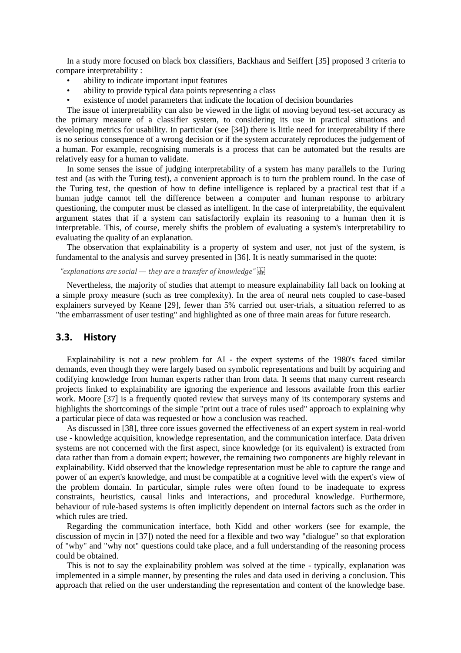In a study more focused on black box classifiers, Backhaus and Seiffert [35] proposed 3 criteria to compare interpretability :

- ability to indicate important input features
- ability to provide typical data points representing a class
- existence of model parameters that indicate the location of decision boundaries

The issue of interpretability can also be viewed in the light of moving beyond test-set accuracy as the primary measure of a classifier system, to considering its use in practical situations and developing metrics for usability. In particular (see [34]) there is little need for interpretability if there is no serious consequence of a wrong decision or if the system accurately reproduces the judgement of a human. For example, recognising numerals is a process that can be automated but the results are relatively easy for a human to validate.

In some senses the issue of judging interpretability of a system has many parallels to the Turing test and (as with the Turing test), a convenient approach is to turn the problem round. In the case of the Turing test, the question of how to define intelligence is replaced by a practical test that if a human judge cannot tell the difference between a computer and human response to arbitrary questioning, the computer must be classed as intelligent. In the case of interpretability, the equivalent argument states that if a system can satisfactorily explain its reasoning to a human then it is interpretable. This, of course, merely shifts the problem of evaluating a system's interpretability to evaluating the quality of an explanation.

The observation that explainability is a property of system and user, not just of the system, is fundamental to the analysis and survey presented in [36]. It is neatly summarised in the quote:

*"explanations are social — they are a transfer of knowledge"* 

Nevertheless, the majority of studies that attempt to measure explainability fall back on looking at a simple proxy measure (such as tree complexity). In the area of neural nets coupled to case-based explainers surveyed by Keane [29], fewer than 5% carried out user-trials, a situation referred to as "the embarrassment of user testing" and highlighted as one of three main areas for future research.

#### **3.3. History**

Explainability is not a new problem for AI - the expert systems of the 1980's faced similar demands, even though they were largely based on symbolic representations and built by acquiring and codifying knowledge from human experts rather than from data. It seems that many current research projects linked to explainability are ignoring the experience and lessons available from this earlier work. Moore [37] is a frequently quoted review that surveys many of its contemporary systems and highlights the shortcomings of the simple "print out a trace of rules used" approach to explaining why a particular piece of data was requested or how a conclusion was reached.

As discussed in [38], three core issues governed the effectiveness of an expert system in real-world use - knowledge acquisition, knowledge representation, and the communication interface. Data driven systems are not concerned with the first aspect, since knowledge (or its equivalent) is extracted from data rather than from a domain expert; however, the remaining two components are highly relevant in explainability. Kidd observed that the knowledge representation must be able to capture the range and power of an expert's knowledge, and must be compatible at a cognitive level with the expert's view of the problem domain. In particular, simple rules were often found to be inadequate to express constraints, heuristics, causal links and interactions, and procedural knowledge. Furthermore, behaviour of rule-based systems is often implicitly dependent on internal factors such as the order in which rules are tried.

Regarding the communication interface, both Kidd and other workers (see for example, the discussion of mycin in [37]) noted the need for a flexible and two way "dialogue" so that exploration of "why" and "why not" questions could take place, and a full understanding of the reasoning process could be obtained.

This is not to say the explainability problem was solved at the time - typically, explanation was implemented in a simple manner, by presenting the rules and data used in deriving a conclusion. This approach that relied on the user understanding the representation and content of the knowledge base.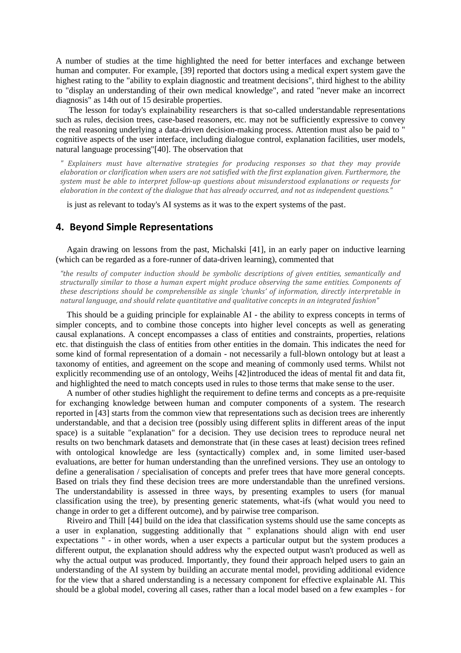A number of studies at the time highlighted the need for better interfaces and exchange between human and computer. For example, [39] reported that doctors using a medical expert system gave the highest rating to the "ability to explain diagnostic and treatment decisions", third highest to the ability to "display an understanding of their own medical knowledge", and rated "never make an incorrect diagnosis" as 14th out of 15 desirable properties.

The lesson for today's explainability researchers is that so-called understandable representations such as rules, decision trees, case-based reasoners, etc. may not be sufficiently expressive to convey the real reasoning underlying a data-driven decision-making process. Attention must also be paid to " cognitive aspects of the user interface, including dialogue control, explanation facilities, user models, natural language processing"[40]. The observation that

*" Explainers must have alternative strategies for producing responses so that they may provide elaboration or clarification when users are not satisfied with the first explanation given. Furthermore, the system must be able to interpret follow-up questions about misunderstood explanations or requests for elaboration in the context of the dialogue that has already occurred, and not as independent questions."* 

is just as relevant to today's AI systems as it was to the expert systems of the past.

#### **4. Beyond Simple Representations**

Again drawing on lessons from the past, Michalski [41], in an early paper on inductive learning (which can be regarded as a fore-runner of data-driven learning), commented that

*"the results of computer induction should be symbolic descriptions of given entities, semantically and structurally similar to those a human expert might produce observing the same entities. Components of these descriptions should be comprehensible as single 'chunks' of information, directly interpretable in natural language, and should relate quantitative and qualitative concepts in an integrated fashion"*

This should be a guiding principle for explainable AI - the ability to express concepts in terms of simpler concepts, and to combine those concepts into higher level concepts as well as generating causal explanations. A concept encompasses a class of entities and constraints, properties, relations etc. that distinguish the class of entities from other entities in the domain. This indicates the need for some kind of formal representation of a domain - not necessarily a full-blown ontology but at least a taxonomy of entities, and agreement on the scope and meaning of commonly used terms. Whilst not explicitly recommending use of an ontology, Weihs [42]introduced the ideas of mental fit and data fit, and highlighted the need to match concepts used in rules to those terms that make sense to the user.

A number of other studies highlight the requirement to define terms and concepts as a pre-requisite for exchanging knowledge between human and computer components of a system. The research reported in [43] starts from the common view that representations such as decision trees are inherently understandable, and that a decision tree (possibly using different splits in different areas of the input space) is a suitable "explanation" for a decision. They use decision trees to reproduce neural net results on two benchmark datasets and demonstrate that (in these cases at least) decision trees refined with ontological knowledge are less (syntactically) complex and, in some limited user-based evaluations, are better for human understanding than the unrefined versions. They use an ontology to define a generalisation / specialisation of concepts and prefer trees that have more general concepts. Based on trials they find these decision trees are more understandable than the unrefined versions. The understandability is assessed in three ways, by presenting examples to users (for manual classification using the tree), by presenting generic statements, what-ifs (what would you need to change in order to get a different outcome), and by pairwise tree comparison.

Riveiro and Thill [44] build on the idea that classification systems should use the same concepts as a user in explanation, suggesting additionally that " explanations should align with end user expectations " - in other words, when a user expects a particular output but the system produces a different output, the explanation should address why the expected output wasn't produced as well as why the actual output was produced. Importantly, they found their approach helped users to gain an understanding of the AI system by building an accurate mental model, providing additional evidence for the view that a shared understanding is a necessary component for effective explainable AI. This should be a global model, covering all cases, rather than a local model based on a few examples - for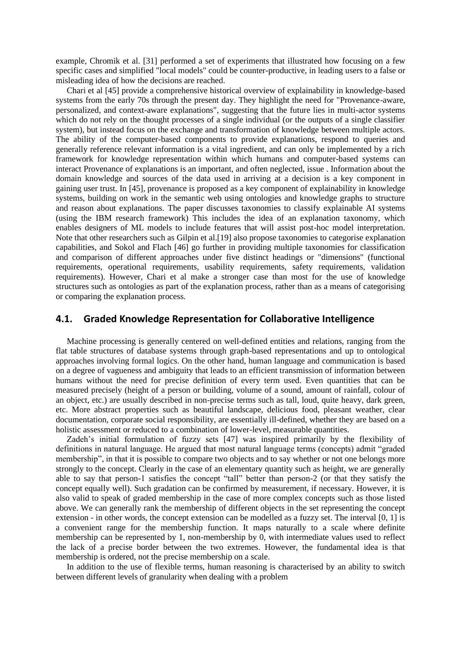example, Chromik et al. [31] performed a set of experiments that illustrated how focusing on a few specific cases and simplified "local models" could be counter-productive, in leading users to a false or misleading idea of how the decisions are reached.

Chari et al [45] provide a comprehensive historical overview of explainability in knowledge-based systems from the early 70s through the present day. They highlight the need for "Provenance-aware, personalized, and context-aware explanations", suggesting that the future lies in multi-actor systems which do not rely on the thought processes of a single individual (or the outputs of a single classifier system), but instead focus on the exchange and transformation of knowledge between multiple actors. The ability of the computer-based components to provide explanations, respond to queries and generally reference relevant information is a vital ingredient, and can only be implemented by a rich framework for knowledge representation within which humans and computer-based systems can interact Provenance of explanations is an important, and often neglected, issue . Information about the domain knowledge and sources of the data used in arriving at a decision is a key component in gaining user trust. In [45], provenance is proposed as a key component of explainability in knowledge systems, building on work in the semantic web using ontologies and knowledge graphs to structure and reason about explanations. The paper discusses taxonomies to classify explainable AI systems (using the IBM research framework) This includes the idea of an explanation taxonomy, which enables designers of ML models to include features that will assist post-hoc model interpretation. Note that other researchers such as Gilpin et al.[19] also propose taxonomies to categorise explanation capabilities, and Sokol and Flach [46] go further in providing multiple taxonomies for classification and comparison of different approaches under five distinct headings or "dimensions" (functional requirements, operational requirements, usability requirements, safety requirements, validation requirements). However, Chari et al make a stronger case than most for the use of knowledge structures such as ontologies as part of the explanation process, rather than as a means of categorising or comparing the explanation process.

# **4.1. Graded Knowledge Representation for Collaborative Intelligence**

Machine processing is generally centered on well-defined entities and relations, ranging from the flat table structures of database systems through graph-based representations and up to ontological approaches involving formal logics. On the other hand, human language and communication is based on a degree of vagueness and ambiguity that leads to an efficient transmission of information between humans without the need for precise definition of every term used. Even quantities that can be measured precisely (height of a person or building, volume of a sound, amount of rainfall, colour of an object, etc.) are usually described in non-precise terms such as tall, loud, quite heavy, dark green, etc. More abstract properties such as beautiful landscape, delicious food, pleasant weather, clear documentation, corporate social responsibility, are essentially ill-defined, whether they are based on a holistic assessment or reduced to a combination of lower-level, measurable quantities.

Zadeh's initial formulation of fuzzy sets [47] was inspired primarily by the flexibility of definitions in natural language. He argued that most natural language terms (concepts) admit "graded membership", in that it is possible to compare two objects and to say whether or not one belongs more strongly to the concept. Clearly in the case of an elementary quantity such as height, we are generally able to say that person-1 satisfies the concept "tall" better than person-2 (or that they satisfy the concept equally well). Such gradation can be confirmed by measurement, if necessary. However, it is also valid to speak of graded membership in the case of more complex concepts such as those listed above. We can generally rank the membership of different objects in the set representing the concept extension - in other words, the concept extension can be modelled as a fuzzy set. The interval [0, 1] is a convenient range for the membership function. It maps naturally to a scale where definite membership can be represented by 1, non-membership by 0, with intermediate values used to reflect the lack of a precise border between the two extremes. However, the fundamental idea is that membership is ordered, not the precise membership on a scale.

In addition to the use of flexible terms, human reasoning is characterised by an ability to switch between different levels of granularity when dealing with a problem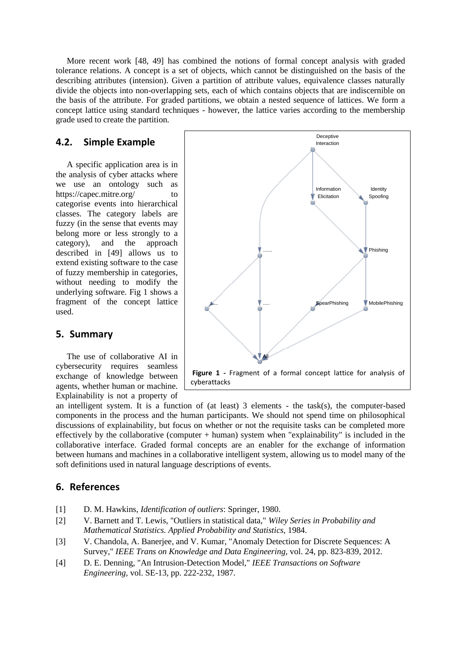More recent work [48, 49] has combined the notions of formal concept analysis with graded tolerance relations. A concept is a set of objects, which cannot be distinguished on the basis of the describing attributes (intension). Given a partition of attribute values, equivalence classes naturally divide the objects into non-overlapping sets, each of which contains objects that are indiscernible on the basis of the attribute. For graded partitions, we obtain a nested sequence of lattices. We form a concept lattice using standard techniques - however, the lattice varies according to the membership grade used to create the partition.

# **4.2. Simple Example**

A specific application area is in the analysis of cyber attacks where we use an ontology such as https://capec.mitre.org/ to categorise events into hierarchical classes. The category labels are fuzzy (in the sense that events may belong more or less strongly to a category), and the approach described in [49] allows us to extend existing software to the case of fuzzy membership in categories, without needing to modify the underlying software. Fig 1 shows a fragment of the concept lattice used.

#### **5. Summary**

The use of collaborative AI in cybersecurity requires seamless exchange of knowledge between agents, whether human or machine. Explainability is not a property of



an intelligent system. It is a function of (at least) 3 elements - the task(s), the computer-based components in the process and the human participants. We should not spend time on philosophical discussions of explainability, but focus on whether or not the requisite tasks can be completed more effectively by the collaborative (computer + human) system when "explainability" is included in the collaborative interface. Graded formal concepts are an enabler for the exchange of information between humans and machines in a collaborative intelligent system, allowing us to model many of the soft definitions used in natural language descriptions of events.

## **6. References**

- [1] D. M. Hawkins, *Identification of outliers*: Springer, 1980.
- [2] V. Barnett and T. Lewis, "Outliers in statistical data," *Wiley Series in Probability and Mathematical Statistics. Applied Probability and Statistics,* 1984.
- [3] V. Chandola, A. Banerjee, and V. Kumar, "Anomaly Detection for Discrete Sequences: A Survey," *IEEE Trans on Knowledge and Data Engineering,* vol. 24, pp. 823-839, 2012.
- [4] D. E. Denning, "An Intrusion-Detection Model," *IEEE Transactions on Software Engineering,* vol. SE-13, pp. 222-232, 1987.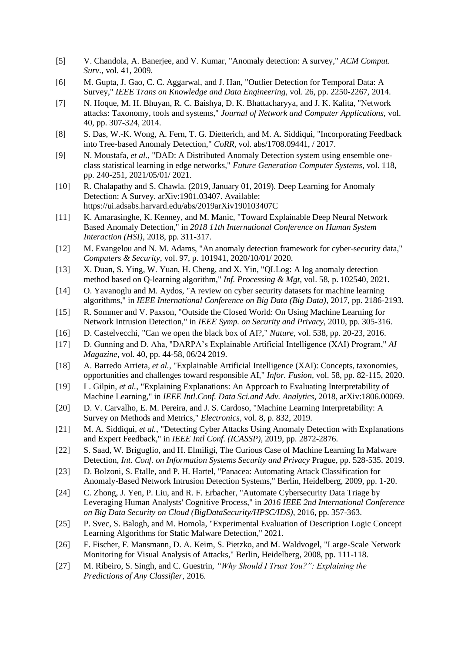- [5] V. Chandola, A. Banerjee, and V. Kumar, "Anomaly detection: A survey," *ACM Comput. Surv.,* vol. 41, 2009.
- [6] M. Gupta, J. Gao, C. C. Aggarwal, and J. Han, "Outlier Detection for Temporal Data: A Survey," *IEEE Trans on Knowledge and Data Engineering,* vol. 26, pp. 2250-2267, 2014.
- [7] N. Hoque, M. H. Bhuyan, R. C. Baishya, D. K. Bhattacharyya, and J. K. Kalita, "Network attacks: Taxonomy, tools and systems," *Journal of Network and Computer Applications,* vol. 40, pp. 307-324, 2014.
- [8] S. Das, W.-K. Wong, A. Fern, T. G. Dietterich, and M. A. Siddiqui, "Incorporating Feedback into Tree-based Anomaly Detection," *CoRR,* vol. abs/1708.09441, / 2017.
- [9] N. Moustafa*, et al.*, "DAD: A Distributed Anomaly Detection system using ensemble oneclass statistical learning in edge networks," *Future Generation Computer Systems,* vol. 118, pp. 240-251, 2021/05/01/ 2021.
- [10] R. Chalapathy and S. Chawla. (2019, January 01, 2019). Deep Learning for Anomaly Detection: A Survey. arXiv:1901.03407. Available: <https://ui.adsabs.harvard.edu/abs/2019arXiv190103407C>
- [11] K. Amarasinghe, K. Kenney, and M. Manic, "Toward Explainable Deep Neural Network Based Anomaly Detection," in *2018 11th International Conference on Human System Interaction (HSI)*, 2018, pp. 311-317.
- [12] M. Evangelou and N. M. Adams, "An anomaly detection framework for cyber-security data," *Computers & Security,* vol. 97, p. 101941, 2020/10/01/ 2020.
- [13] X. Duan, S. Ying, W. Yuan, H. Cheng, and X. Yin, "QLLog: A log anomaly detection method based on Q-learning algorithm," *Inf. Processing & Mgt,* vol. 58, p. 102540, 2021.
- [14] O. Yavanoglu and M. Aydos, "A review on cyber security datasets for machine learning algorithms," in *IEEE International Conference on Big Data (Big Data)*, 2017, pp. 2186-2193.
- [15] R. Sommer and V. Paxson, "Outside the Closed World: On Using Machine Learning for Network Intrusion Detection," in *IEEE Symp. on Security and Privacy*, 2010, pp. 305-316.
- [16] D. Castelvecchi, "Can we open the black box of AI?," *Nature,* vol. 538, pp. 20-23, 2016.
- [17] D. Gunning and D. Aha, "DARPA's Explainable Artificial Intelligence (XAI) Program," *AI Magazine,* vol. 40, pp. 44-58, 06/24 2019.
- [18] A. Barredo Arrieta*, et al.*, "Explainable Artificial Intelligence (XAI): Concepts, taxonomies, opportunities and challenges toward responsible AI," *Infor. Fusion,* vol. 58, pp. 82-115, 2020.
- [19] L. Gilpin*, et al.*, "Explaining Explanations: An Approach to Evaluating Interpretability of Machine Learning," in *IEEE Intl.Conf. Data Sci.and Adv. Analytics*, 2018, arXiv:1806.00069.
- [20] D. V. Carvalho, E. M. Pereira, and J. S. Cardoso, "Machine Learning Interpretability: A Survey on Methods and Metrics," *Electronics,* vol. 8, p. 832, 2019.
- [21] M. A. Siddiqui*, et al.*, "Detecting Cyber Attacks Using Anomaly Detection with Explanations and Expert Feedback," in *IEEE Intl Conf. (ICASSP)*, 2019, pp. 2872-2876.
- [22] S. Saad, W. Briguglio, and H. Elmiligi, The Curious Case of Machine Learning In Malware Detection, *Int. Conf. on Information Systems Security and Privacy* Prague, pp. 528-535. 2019.
- [23] D. Bolzoni, S. Etalle, and P. H. Hartel, "Panacea: Automating Attack Classification for Anomaly-Based Network Intrusion Detection Systems," Berlin, Heidelberg, 2009, pp. 1-20.
- [24] C. Zhong, J. Yen, P. Liu, and R. F. Erbacher, "Automate Cybersecurity Data Triage by Leveraging Human Analysts' Cognitive Process," in *2016 IEEE 2nd International Conference on Big Data Security on Cloud (BigDataSecurity/HPSC/IDS)*, 2016, pp. 357-363.
- [25] P. Svec, S. Balogh, and M. Homola, "Experimental Evaluation of Description Logic Concept" Learning Algorithms for Static Malware Detection," 2021.
- [26] F. Fischer, F. Mansmann, D. A. Keim, S. Pietzko, and M. Waldvogel, "Large-Scale Network Monitoring for Visual Analysis of Attacks," Berlin, Heidelberg, 2008, pp. 111-118.
- [27] M. Ribeiro, S. Singh, and C. Guestrin, *"Why Should I Trust You?": Explaining the Predictions of Any Classifier*, 2016.